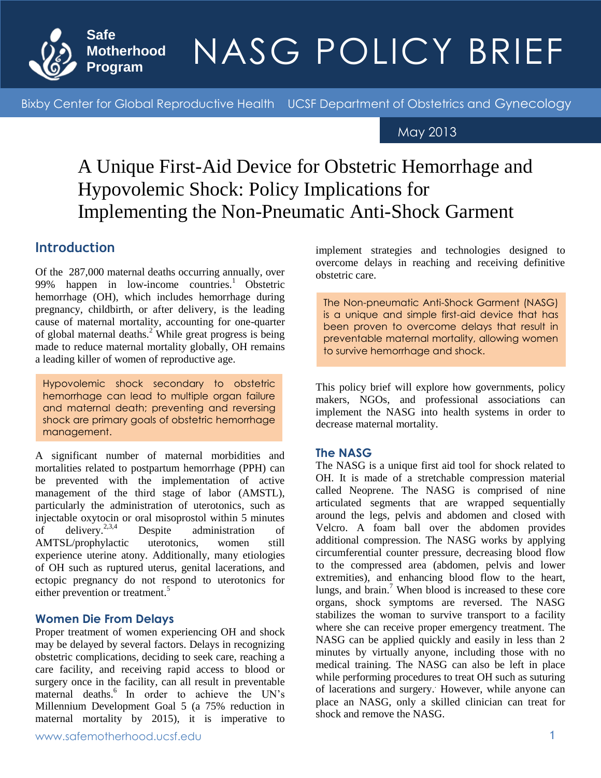

### **Therbood** NIACC DOIICV DI safe Motherhood Program NASG Policy Brief May 2013 Program NASG Policy Brief May 2013 NASG POLICY BRIEF

Bixby Center for Global Reproductive Health UCSF Department of Obstetrics and Gynecology

## May 2013

## A Unique First-Aid Device for Obstetric Hemorrhage and Hypovolemic Shock: Policy Implications for Implementing the Non-Pneumatic Anti-Shock Garment

### **Introduction**   $\mathcal{L}(\mathcal{A})$

Of the 287,000 maternal deaths occurring annually, over 99% happen in low-income countries.<sup>1</sup> Obstetric hemorrhage (OH), which includes hemorrhage during pregnancy, childbirth, or after delivery, is the leading cause of maternal mortality, accounting for one-quarter of global maternal deaths.<sup>2</sup> While great progress is being made to reduce maternal mortality globally, OH remains a leading killer of women of reproductive age.

Hypovolemic shock secondary to obstetric hemorrhage can lead to multiple organ failure and maternal death; preventing and reversing shock are primary goals of obstetric hemorrhage management.

A significant number of maternal morbidities and mortalities related to postpartum hemorrhage (PPH) can be prevented with the implementation of active management of the third stage of labor (AMSTL), particularly the administration of uterotonics, such as injectable oxytocin or oral misoprostol within 5 minutes<br>of delivery.<sup>2,3,4</sup> Despite administration of of delivery.<sup>2,3,4</sup> Despite administration of AMTSL/prophylactic uterotonics, women still experience uterine atony. Additionally, many etiologies of OH such as ruptured uterus, genital lacerations, and ectopic pregnancy do not respond to uterotonics for either prevention or treatment.<sup>5</sup>

#### **Women Die From Delays**

Proper treatment of women experiencing OH and shock may be delayed by several factors. Delays in recognizing obstetric complications, deciding to seek care, reaching a care facility, and receiving rapid access to blood or surgery once in the facility, can all result in preventable maternal deaths.<sup>6</sup> In order to achieve the UN's Millennium Development Goal 5 (a 75% reduction in maternal mortality by 2015), it is imperative to implement strategies and technologies designed to overcome delays in reaching and receiving definitive obstetric care.

The Non-pneumatic Anti-Shock Garment (NASG) is a unique and simple first-aid device that has been proven to overcome delays that result in preventable maternal mortality, allowing women to survive hemorrhage and shock.

This policy brief will explore how governments, policy makers, NGOs, and professional associations can implement the NASG into health systems in order to decrease maternal mortality.

#### **The NASG**

The NASG is a unique first aid tool for shock related to OH. It is made of a stretchable compression material called Neoprene. The NASG is comprised of nine articulated segments that are wrapped sequentially around the legs, pelvis and abdomen and closed with Velcro. A foam ball over the abdomen provides additional compression. The NASG works by applying circumferential counter pressure, decreasing blood flow to the compressed area (abdomen, pelvis and lower extremities), and enhancing blood flow to the heart, lungs, and brain.<sup>7</sup> When blood is increased to these core organs, shock symptoms are reversed. The NASG stabilizes the woman to survive transport to a facility where she can receive proper emergency treatment. The NASG can be applied quickly and easily in less than 2 minutes by virtually anyone, including those with no medical training. The NASG can also be left in place while performing procedures to treat OH such as suturing of lacerations and surgery. However, while anyone can place an NASG, only a skilled clinician can treat for shock and remove the NASG.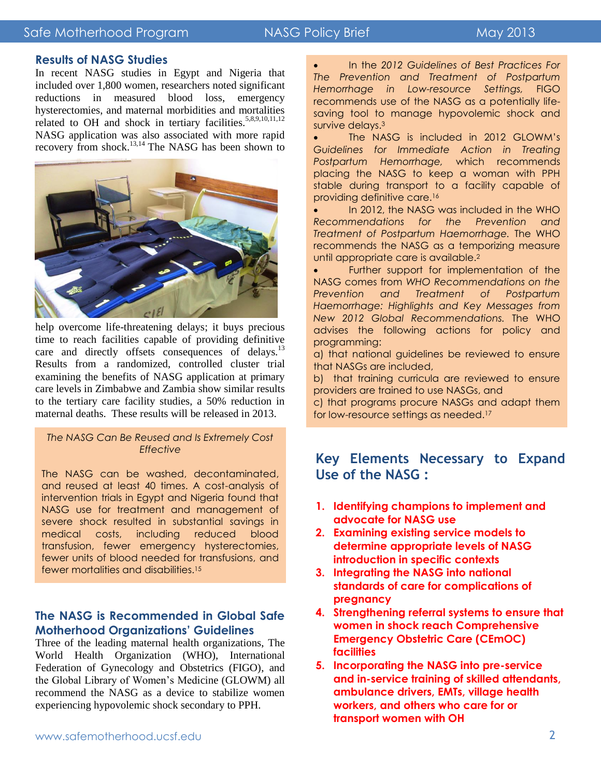#### Safe Motherhood Program NASG Policy Brief May 2013

## **The NASG: Treating Postpartum Hemorrhage**

#### **Results of NASG Studies**

In recent NASG studies in Egypt and Nigeria that included over 1,800 women, researchers noted significant reductions in measured blood loss, emergency hysterectomies, and maternal morbidities and mortalities related to OH and shock in tertiary facilities.<sup>5,8,9,10,11,12</sup> NASG application was also associated with more rapid recovery from shock.<sup>13,14</sup> The NASG has been shown to



help overcome life-threatening delays; it buys precious time to reach facilities capable of providing definitive care and directly offsets consequences of delays.<sup>13</sup> Results from a randomized, controlled cluster trial examining the benefits of NASG application at primary care levels in Zimbabwe and Zambia show similar results to the tertiary care facility studies, a 50% reduction in maternal deaths. These results will be released in 2013.

#### *The NASG Can Be Reused and Is Extremely Cost Effective*

The NASG can be washed, decontaminated, and reused at least 40 times. A cost-analysis of intervention trials in Egypt and Nigeria found that NASG use for treatment and management of severe shock resulted in substantial savings in medical costs, including reduced blood transfusion, fewer emergency hysterectomies, fewer units of blood needed for transfusions, and fewer mortalities and disabilities.<sup>15</sup>

#### **The NASG is Recommended in Global Safe Motherhood Organizations' Guidelines**

Three of the leading maternal health organizations, The World Health Organization (WHO), International Federation of Gynecology and Obstetrics (FIGO), and the Global Library of Women's Medicine (GLOWM) all recommend the NASG as a device to stabilize women experiencing hypovolemic shock secondary to PPH.

 In the *2012 Guidelines of Best Practices For The Prevention and Treatment of Postpartum Hemorrhage in Low-resource Settings,* FIGO recommends use of the NASG as a potentially lifesaving tool to manage hypovolemic shock and survive delays.<sup>3</sup>

 The NASG is included in 2012 GLOWM's *Guidelines for Immediate Action in Treating Postpartum Hemorrhage,* which recommends placing the NASG to keep a woman with PPH stable during transport to a facility capable of providing definitive care.<sup>16</sup>

 In 2012, the NASG was included in the WHO *Recommendations for the Prevention and Treatment of Postpartum Haemorrhage.* The WHO recommends the NASG as a temporizing measure until appropriate care is available.<sup>2</sup>

• Further support for implementation of the NASG comes from *WHO Recommendations on the Prevention and Treatment of Postpartum Haemorrhage: Highlights and Key Messages from New 2012 Global Recommendations.* The WHO advises the following actions for policy and programming:

a) that national guidelines be reviewed to ensure that NASGs are included,

b) that training curricula are reviewed to ensure providers are trained to use NASGs, and

c) that programs procure NASGs and adapt them for low-resource settings as needed.<sup>17</sup>

### **Key Elements Necessary to Expand Use of the NASG :**

- **1. Identifying champions to implement and advocate for NASG use**
- **2. Examining existing service models to determine appropriate levels of NASG introduction in specific contexts**
- **3. Integrating the NASG into national standards of care for complications of pregnancy**
- **4. Strengthening referral systems to ensure that women in shock reach Comprehensive Emergency Obstetric Care (CEmOC) facilities**
- **5. Incorporating the NASG into pre-service and in-service training of skilled attendants, ambulance drivers, EMTs, village health workers, and others who care for or transport women with OH**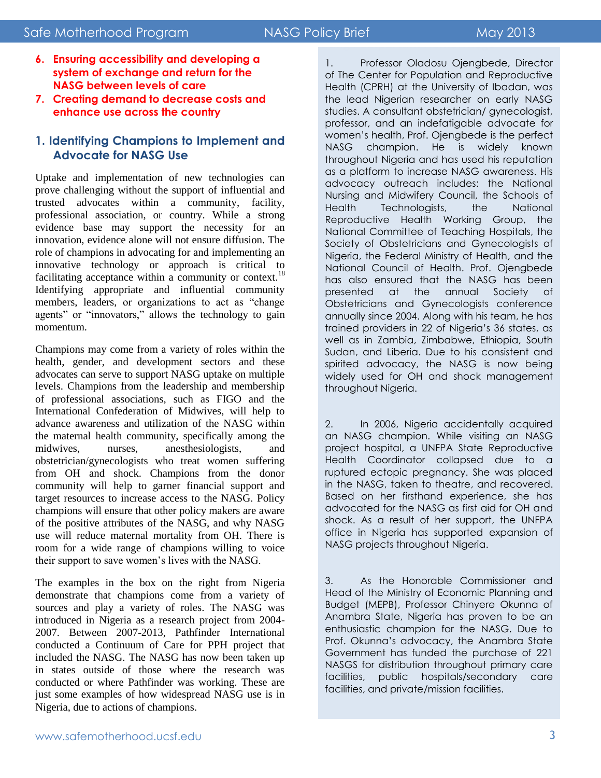## **The NASG: Treating Postpartum Hemorrhage**

- **6. Ensuring accessibility and developing a system of exchange and return for the NASG between levels of care**
- **7. Creating demand to decrease costs and enhance use across the country**

#### **1. Identifying Champions to Implement and Advocate for NASG Use**

Uptake and implementation of new technologies can prove challenging without the support of influential and trusted advocates within a community, facility, professional association, or country. While a strong evidence base may support the necessity for an innovation, evidence alone will not ensure diffusion. The role of champions in advocating for and implementing an innovative technology or approach is critical to facilitating acceptance within a community or context.<sup>18</sup> Identifying appropriate and influential community members, leaders, or organizations to act as "change agents" or "innovators," allows the technology to gain momentum.

Champions may come from a variety of roles within the health, gender, and development sectors and these advocates can serve to support NASG uptake on multiple levels. Champions from the leadership and membership of professional associations, such as FIGO and the International Confederation of Midwives, will help to advance awareness and utilization of the NASG within the maternal health community, specifically among the midwives, nurses, anesthesiologists, and obstetrician/gynecologists who treat women suffering from OH and shock. Champions from the donor community will help to garner financial support and target resources to increase access to the NASG. Policy champions will ensure that other policy makers are aware of the positive attributes of the NASG, and why NASG use will reduce maternal mortality from OH. There is room for a wide range of champions willing to voice their support to save women's lives with the NASG.

The examples in the box on the right from Nigeria demonstrate that champions come from a variety of sources and play a variety of roles. The NASG was introduced in Nigeria as a research project from 2004- 2007. Between 2007-2013, Pathfinder International conducted a Continuum of Care for PPH project that included the NASG. The NASG has now been taken up in states outside of those where the research was conducted or where Pathfinder was working. These are just some examples of how widespread NASG use is in Nigeria, due to actions of champions.

1. Professor Oladosu Ojengbede, Director of The Center for Population and Reproductive Health (CPRH) at the University of Ibadan, was the lead Nigerian researcher on early NASG studies. A consultant obstetrician/ gynecologist, professor, and an indefatigable advocate for women's health, Prof. Ojengbede is the perfect NASG champion. He is widely known throughout Nigeria and has used his reputation as a platform to increase NASG awareness. His advocacy outreach includes: the National Nursing and Midwifery Council, the Schools of Health Technologists, the National Reproductive Health Working Group, the National Committee of Teaching Hospitals, the Society of Obstetricians and Gynecologists of Nigeria, the Federal Ministry of Health, and the National Council of Health. Prof. Ojengbede has also ensured that the NASG has been presented at the annual Society of Obstetricians and Gynecologists conference annually since 2004. Along with his team, he has trained providers in 22 of Nigeria's 36 states, as well as in Zambia, Zimbabwe, Ethiopia, South Sudan, and Liberia. Due to his consistent and spirited advocacy, the NASG is now being widely used for OH and shock management throughout Nigeria.

2. In 2006, Nigeria accidentally acquired an NASG champion. While visiting an NASG project hospital, a UNFPA State Reproductive Health Coordinator collapsed due to a ruptured ectopic pregnancy. She was placed in the NASG, taken to theatre, and recovered. Based on her firsthand experience, she has advocated for the NASG as first aid for OH and shock. As a result of her support, the UNFPA office in Nigeria has supported expansion of NASG projects throughout Nigeria.

3. As the Honorable Commissioner and Head of the Ministry of Economic Planning and Budget (MEPB), Professor Chinyere Okunna of Anambra State, Nigeria has proven to be an enthusiastic champion for the NASG. Due to Prof. Okunna's advocacy, the Anambra State Government has funded the purchase of 221 NASGS for distribution throughout primary care facilities, public hospitals/secondary care facilities, and private/mission facilities.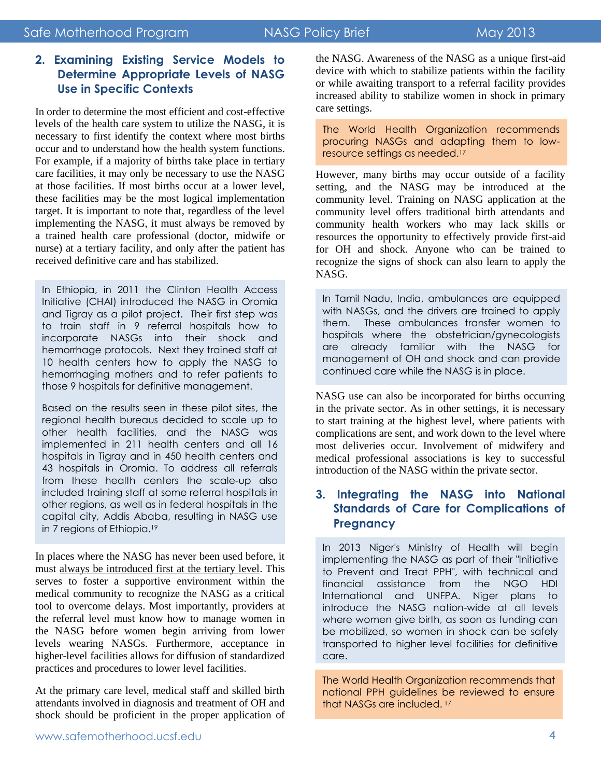## **The NASG: Treating Postpartum Hemorrhage**

#### **2. Examining Existing Service Models to Determine Appropriate Levels of NASG Use in Specific Contexts**

In order to determine the most efficient and cost-effective levels of the health care system to utilize the NASG, it is necessary to first identify the context where most births occur and to understand how the health system functions. For example, if a majority of births take place in tertiary care facilities, it may only be necessary to use the NASG at those facilities. If most births occur at a lower level, these facilities may be the most logical implementation target. It is important to note that, regardless of the level implementing the NASG, it must always be removed by a trained health care professional (doctor, midwife or nurse) at a tertiary facility, and only after the patient has received definitive care and has stabilized.

In Ethiopia, in 2011 the Clinton Health Access Initiative (CHAI) introduced the NASG in Oromia and Tigray as a pilot project. Their first step was to train staff in 9 referral hospitals how to incorporate NASGs into their shock and hemorrhage protocols. Next they trained staff at 10 health centers how to apply the NASG to hemorrhaging mothers and to refer patients to those 9 hospitals for definitive management.

Based on the results seen in these pilot sites, the regional health bureaus decided to scale up to other health facilities, and the NASG was implemented in 211 health centers and all 16 hospitals in Tigray and in 450 health centers and 43 hospitals in Oromia. To address all referrals from these health centers the scale-up also included training staff at some referral hospitals in other regions, as well as in federal hospitals in the capital city, Addis Ababa, resulting in NASG use in 7 regions of Ethiopia.<sup>19</sup>

In places where the NASG has never been used before, it must always be introduced first at the tertiary level. This serves to foster a supportive environment within the medical community to recognize the NASG as a critical tool to overcome delays. Most importantly, providers at the referral level must know how to manage women in the NASG before women begin arriving from lower levels wearing NASGs. Furthermore, acceptance in higher-level facilities allows for diffusion of standardized practices and procedures to lower level facilities.

At the primary care level, medical staff and skilled birth attendants involved in diagnosis and treatment of OH and shock should be proficient in the proper application of

the NASG. Awareness of the NASG as a unique first-aid device with which to stabilize patients within the facility or while awaiting transport to a referral facility provides increased ability to stabilize women in shock in primary care settings.

The World Health Organization recommends procuring NASGs and adapting them to lowresource settings as needed.<sup>17</sup>

However, many births may occur outside of a facility setting, and the NASG may be introduced at the community level. Training on NASG application at the community level offers traditional birth attendants and community health workers who may lack skills or resources the opportunity to effectively provide first-aid for OH and shock. Anyone who can be trained to recognize the signs of shock can also learn to apply the NASG.

In Tamil Nadu, India, ambulances are equipped with NASGs, and the drivers are trained to apply them. These ambulances transfer women to hospitals where the obstetrician/gynecologists are already familiar with the NASG for management of OH and shock and can provide continued care while the NASG is in place.

NASG use can also be incorporated for births occurring in the private sector. As in other settings, it is necessary to start training at the highest level, where patients with complications are sent, and work down to the level where most deliveries occur. Involvement of midwifery and medical professional associations is key to successful introduction of the NASG within the private sector.

#### **3. Integrating the NASG into National Standards of Care for Complications of Pregnancy**

In 2013 Niger's Ministry of Health will begin implementing the NASG as part of their "Initiative to Prevent and Treat PPH", with technical and financial assistance from the NGO HDI International and UNFPA. Niger plans to introduce the NASG nation-wide at all levels where women give birth, as soon as funding can be mobilized, so women in shock can be safely transported to higher level facilities for definitive care.

The World Health Organization recommends that national PPH guidelines be reviewed to ensure that NASGs are included. <sup>17</sup>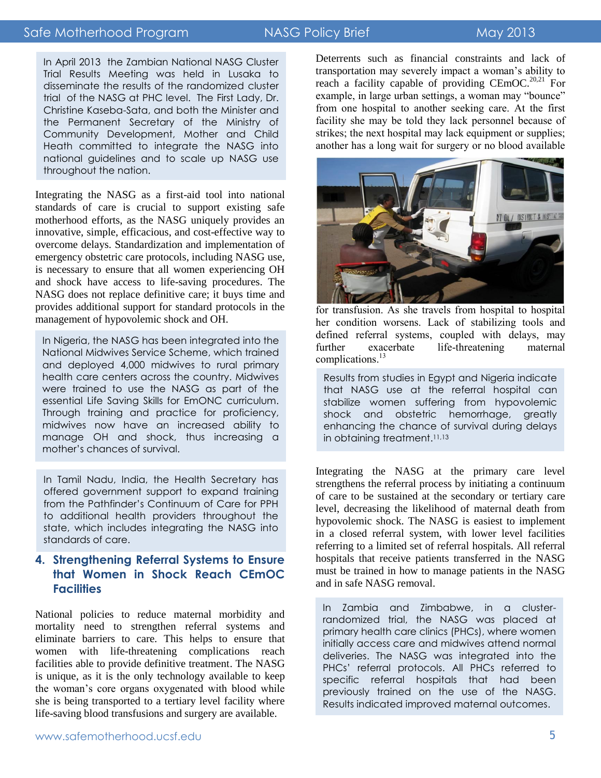#### Safe Motherhood Program NASG Policy Brief May 2013

## **The NASG: Treating Postpartum Hemorrhage**

In April 2013 the Zambian National NASG Cluster Trial Results Meeting was held in Lusaka to disseminate the results of the randomized cluster trial of the NASG at PHC level. The First Lady, Dr. Christine Kaseba-Sata, and both the Minister and the Permanent Secretary of the Ministry of Community Development, Mother and Child Heath committed to integrate the NASG into national guidelines and to scale up NASG use throughout the nation.

Integrating the NASG as a first-aid tool into national standards of care is crucial to support existing safe motherhood efforts, as the NASG uniquely provides an innovative, simple, efficacious, and cost-effective way to overcome delays. Standardization and implementation of emergency obstetric care protocols, including NASG use, is necessary to ensure that all women experiencing OH and shock have access to life-saving procedures. The NASG does not replace definitive care; it buys time and provides additional support for standard protocols in the management of hypovolemic shock and OH.

In Nigeria, the NASG has been integrated into the National Midwives Service Scheme, which trained and deployed 4,000 midwives to rural primary health care centers across the country. Midwives were trained to use the NASG as part of the essential Life Saving Skills for EmONC curriculum. Through training and practice for proficiency, midwives now have an increased ability to manage OH and shock, thus increasing a mother's chances of survival.

In Tamil Nadu, India, the Health Secretary has offered government support to expand training from the Pathfinder's Continuum of Care for PPH to additional health providers throughout the state, which includes integrating the NASG into standards of care.

#### **4. Strengthening Referral Systems to Ensure that Women in Shock Reach CEmOC Facilities**

National policies to reduce maternal morbidity and mortality need to strengthen referral systems and eliminate barriers to care. This helps to ensure that women with life-threatening complications reach facilities able to provide definitive treatment. The NASG is unique, as it is the only technology available to keep the woman's core organs oxygenated with blood while she is being transported to a tertiary level facility where life-saving blood transfusions and surgery are available.

Deterrents such as financial constraints and lack of transportation may severely impact a woman's ability to reach a facility capable of providing  $\text{CEmOC.}^{20,21}$  For example, in large urban settings, a woman may "bounce" from one hospital to another seeking care. At the first facility she may be told they lack personnel because of strikes; the next hospital may lack equipment or supplies; another has a long wait for surgery or no blood available



for transfusion. As she travels from hospital to hospital her condition worsens. Lack of stabilizing tools and defined referral systems, coupled with delays, may<br>further exacerbate life-threatening maternal further exacerbate life-threatening maternal complications.<sup>13</sup>

Results from studies in Egypt and Nigeria indicate that NASG use at the referral hospital can stabilize women suffering from hypovolemic shock and obstetric hemorrhage, greatly enhancing the chance of survival during delays in obtaining treatment.<sup>11,13</sup>

Integrating the NASG at the primary care level strengthens the referral process by initiating a continuum of care to be sustained at the secondary or tertiary care level, decreasing the likelihood of maternal death from hypovolemic shock. The NASG is easiest to implement in a closed referral system, with lower level facilities referring to a limited set of referral hospitals. All referral hospitals that receive patients transferred in the NASG must be trained in how to manage patients in the NASG and in safe NASG removal.

In Zambia and Zimbabwe, in a clusterrandomized trial, the NASG was placed at primary health care clinics (PHCs), where women initially access care and midwives attend normal deliveries. The NASG was integrated into the PHCs' referral protocols. All PHCs referred to specific referral hospitals that had been previously trained on the use of the NASG. Results indicated improved maternal outcomes.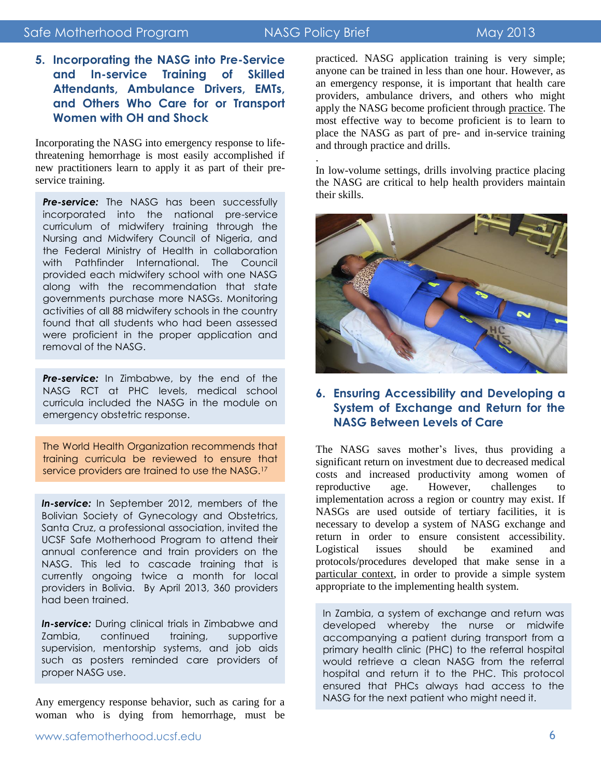### Safe Motherhood Program NASG Policy Brief May 2013

## **The NASG: Treating Postpartum Hemorrhage**

.

**5. Incorporating the NASG into Pre-Service and In-service Training of Skilled Attendants, Ambulance Drivers, EMTs, and Others Who Care for or Transport Women with OH and Shock** 

Incorporating the NASG into emergency response to lifethreatening hemorrhage is most easily accomplished if new practitioners learn to apply it as part of their preservice training.

**Pre-service:** The NASG has been successfully incorporated into the national pre-service curriculum of midwifery training through the Nursing and Midwifery Council of Nigeria, and the Federal Ministry of Health in collaboration with Pathfinder International. The Council provided each midwifery school with one NASG along with the recommendation that state governments purchase more NASGs. Monitoring activities of all 88 midwifery schools in the country found that all students who had been assessed were proficient in the proper application and removal of the NASG.

*Pre-service:* In Zimbabwe, by the end of the NASG RCT at PHC levels, medical school curricula included the NASG in the module on emergency obstetric response.

The World Health Organization recommends that training curricula be reviewed to ensure that service providers are trained to use the NASG.<sup>17</sup>

*In-service:* In September 2012, members of the Bolivian Society of Gynecology and Obstetrics, Santa Cruz, a professional association, invited the UCSF Safe Motherhood Program to attend their annual conference and train providers on the NASG. This led to cascade training that is currently ongoing twice a month for local providers in Bolivia. By April 2013, 360 providers had been trained.

**In-service:** During clinical trials in Zimbabwe and Zambia, continued training, supportive supervision, mentorship systems, and job aids such as posters reminded care providers of proper NASG use.

Any emergency response behavior, such as caring for a woman who is dying from hemorrhage, must be practiced. NASG application training is very simple; anyone can be trained in less than one hour. However, as an emergency response, it is important that health care providers, ambulance drivers, and others who might apply the NASG become proficient through practice. The most effective way to become proficient is to learn to place the NASG as part of pre- and in-service training and through practice and drills.

In low-volume settings, drills involving practice placing the NASG are critical to help health providers maintain their skills.



#### **6. Ensuring Accessibility and Developing a System of Exchange and Return for the NASG Between Levels of Care**

The NASG saves mother's lives, thus providing a significant return on investment due to decreased medical costs and increased productivity among women of reproductive age. However, challenges to implementation across a region or country may exist. If NASGs are used outside of tertiary facilities, it is necessary to develop a system of NASG exchange and return in order to ensure consistent accessibility. Logistical issues should be examined and protocols/procedures developed that make sense in a particular context, in order to provide a simple system appropriate to the implementing health system.

In Zambia, a system of exchange and return was developed whereby the nurse or midwife accompanying a patient during transport from a primary health clinic (PHC) to the referral hospital would retrieve a clean NASG from the referral hospital and return it to the PHC. This protocol ensured that PHCs always had access to the NASG for the next patient who might need it.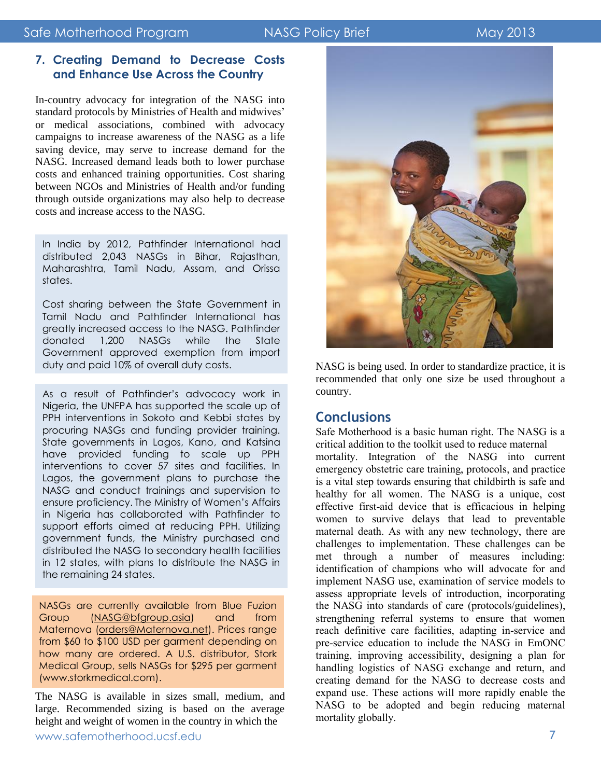#### **7. Creating Demand to Decrease Costs and Enhance Use Across the Country**

In-country advocacy for integration of the NASG into standard protocols by Ministries of Health and midwives' or medical associations, combined with advocacy campaigns to increase awareness of the NASG as a life saving device, may serve to increase demand for the NASG. Increased demand leads both to lower purchase costs and enhanced training opportunities. Cost sharing between NGOs and Ministries of Health and/or funding through outside organizations may also help to decrease costs and increase access to the NASG.

In India by 2012, Pathfinder International had distributed 2,043 NASGs in Bihar, Rajasthan, Maharashtra, Tamil Nadu, Assam, and Orissa states.

Cost sharing between the State Government in Tamil Nadu and Pathfinder International has greatly increased access to the NASG. Pathfinder donated 1,200 NASGs while the State Government approved exemption from import duty and paid 10% of overall duty costs.

As a result of Pathfinder's advocacy work in Nigeria, the UNFPA has supported the scale up of PPH interventions in Sokoto and Kebbi states by procuring NASGs and funding provider training. State governments in Lagos, Kano, and Katsina have provided funding to scale up PPH interventions to cover 57 sites and facilities. In Lagos, the government plans to purchase the NASG and conduct trainings and supervision to ensure proficiency. The Ministry of Women's Affairs in Nigeria has collaborated with Pathfinder to support efforts aimed at reducing PPH. Utilizing government funds, the Ministry purchased and distributed the NASG to secondary health facilities in 12 states, with plans to distribute the NASG in the remaining 24 states.

NASGs are currently available from Blue Fuzion Group (NASG@bfgroup.asia) and from Maternova [\(orders@Maternova.net\)](mailto:orders@Maternova.net). Prices range from \$60 to \$100 USD per garment depending on how many are ordered. A U.S. distributor, Stork Medical Group, sells NASGs for \$295 per garment (www.storkmedical.com).

The NASG is available in sizes small, medium, and large. Recommended sizing is based on the average height and weight of women in the country in which the



NASG is being used. In order to standardize practice, it is recommended that only one size be used throughout a country.

### **Conclusions**

Safe Motherhood is a basic human right. The NASG is a critical addition to the toolkit used to reduce maternal mortality. Integration of the NASG into current emergency obstetric care training, protocols, and practice is a vital step towards ensuring that childbirth is safe and healthy for all women. The NASG is a unique, cost effective first-aid device that is efficacious in helping women to survive delays that lead to preventable maternal death. As with any new technology, there are challenges to implementation. These challenges can be met through a number of measures including: identification of champions who will advocate for and implement NASG use, examination of service models to assess appropriate levels of introduction, incorporating the NASG into standards of care (protocols/guidelines), strengthening referral systems to ensure that women reach definitive care facilities, adapting in-service and pre-service education to include the NASG in EmONC training, improving accessibility, designing a plan for handling logistics of NASG exchange and return, and creating demand for the NASG to decrease costs and expand use. These actions will more rapidly enable the NASG to be adopted and begin reducing maternal mortality globally.